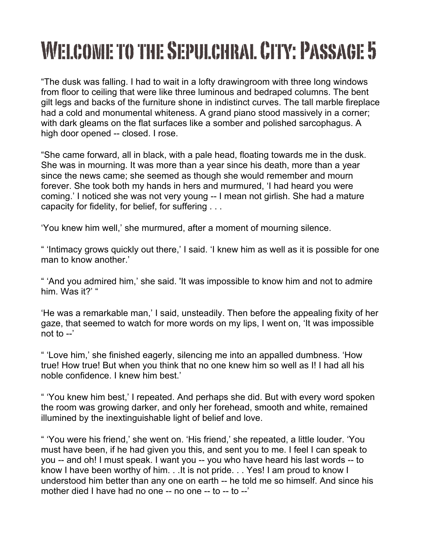## WELCOME TO THE SEPULCHRAL CITY: PASSAGE 5

"The dusk was falling. I had to wait in a lofty drawingroom with three long windows from floor to ceiling that were like three luminous and bedraped columns. The bent gilt legs and backs of the furniture shone in indistinct curves. The tall marble fireplace had a cold and monumental whiteness. A grand piano stood massively in a corner; with dark gleams on the flat surfaces like a somber and polished sarcophagus. A high door opened -- closed. I rose.

"She came forward, all in black, with a pale head, floating towards me in the dusk. She was in mourning. It was more than a year since his death, more than a year since the news came; she seemed as though she would remember and mourn forever. She took both my hands in hers and murmured, 'I had heard you were coming.' I noticed she was not very young -- I mean not girlish. She had a mature capacity for fidelity, for belief, for suffering . . .

'You knew him well,' she murmured, after a moment of mourning silence.

" 'Intimacy grows quickly out there,' I said. 'I knew him as well as it is possible for one man to know another.'

" 'And you admired him,' she said. 'It was impossible to know him and not to admire him. Was it?' "

'He was a remarkable man,' I said, unsteadily. Then before the appealing fixity of her gaze, that seemed to watch for more words on my lips, I went on, 'It was impossible not to --'

" 'Love him,' she finished eagerly, silencing me into an appalled dumbness. 'How true! How true! But when you think that no one knew him so well as I! I had all his noble confidence. I knew him best.'

" 'You knew him best,' I repeated. And perhaps she did. But with every word spoken the room was growing darker, and only her forehead, smooth and white, remained illumined by the inextinguishable light of belief and love.

" 'You were his friend,' she went on. 'His friend,' she repeated, a little louder. 'You must have been, if he had given you this, and sent you to me. I feel I can speak to you -- and oh! I must speak. I want you -- you who have heard his last words -- to know I have been worthy of him. . .It is not pride. . . Yes! I am proud to know I understood him better than any one on earth -- he told me so himself. And since his mother died I have had no one -- no one -- to -- to --'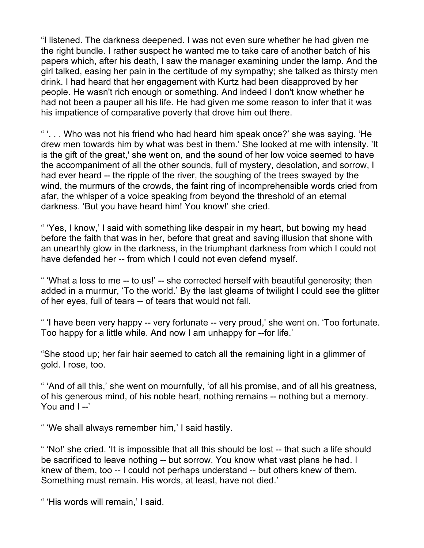"I listened. The darkness deepened. I was not even sure whether he had given me the right bundle. I rather suspect he wanted me to take care of another batch of his papers which, after his death, I saw the manager examining under the lamp. And the girl talked, easing her pain in the certitude of my sympathy; she talked as thirsty men drink. I had heard that her engagement with Kurtz had been disapproved by her people. He wasn't rich enough or something. And indeed I don't know whether he had not been a pauper all his life. He had given me some reason to infer that it was his impatience of comparative poverty that drove him out there.

" '. . . Who was not his friend who had heard him speak once?' she was saying. 'He drew men towards him by what was best in them.' She looked at me with intensity. 'It is the gift of the great,' she went on, and the sound of her low voice seemed to have the accompaniment of all the other sounds, full of mystery, desolation, and sorrow, I had ever heard -- the ripple of the river, the soughing of the trees swayed by the wind, the murmurs of the crowds, the faint ring of incomprehensible words cried from afar, the whisper of a voice speaking from beyond the threshold of an eternal darkness. 'But you have heard him! You know!' she cried.

" 'Yes, I know,' I said with something like despair in my heart, but bowing my head before the faith that was in her, before that great and saving illusion that shone with an unearthly glow in the darkness, in the triumphant darkness from which I could not have defended her -- from which I could not even defend myself.

" 'What a loss to me -- to us!' -- she corrected herself with beautiful generosity; then added in a murmur, 'To the world.' By the last gleams of twilight I could see the glitter of her eyes, full of tears -- of tears that would not fall.

" 'I have been very happy -- very fortunate -- very proud,' she went on. 'Too fortunate. Too happy for a little while. And now I am unhappy for --for life.'

"She stood up; her fair hair seemed to catch all the remaining light in a glimmer of gold. I rose, too.

" 'And of all this,' she went on mournfully, 'of all his promise, and of all his greatness, of his generous mind, of his noble heart, nothing remains -- nothing but a memory. You and I--'

" 'We shall always remember him,' I said hastily.

" 'No!' she cried. 'It is impossible that all this should be lost -- that such a life should be sacrificed to leave nothing -- but sorrow. You know what vast plans he had. I knew of them, too -- I could not perhaps understand -- but others knew of them. Something must remain. His words, at least, have not died.'

" 'His words will remain,' I said.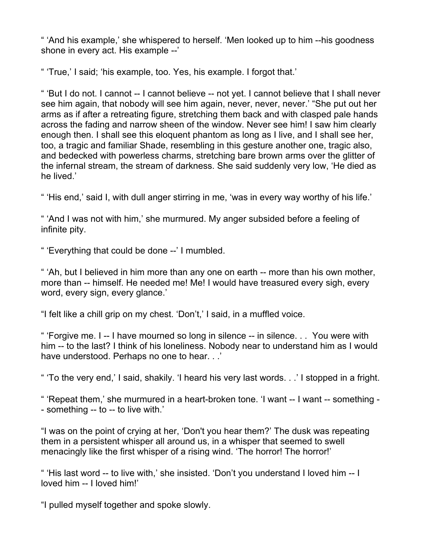" 'And his example,' she whispered to herself. 'Men looked up to him --his goodness shone in every act. His example --'

" 'True,' I said; 'his example, too. Yes, his example. I forgot that.'

" 'But I do not. I cannot -- I cannot believe -- not yet. I cannot believe that I shall never see him again, that nobody will see him again, never, never, never.' "She put out her arms as if after a retreating figure, stretching them back and with clasped pale hands across the fading and narrow sheen of the window. Never see him! I saw him clearly enough then. I shall see this eloquent phantom as long as I live, and I shall see her, too, a tragic and familiar Shade, resembling in this gesture another one, tragic also, and bedecked with powerless charms, stretching bare brown arms over the glitter of the infernal stream, the stream of darkness. She said suddenly very low, 'He died as he lived.'

" 'His end,' said I, with dull anger stirring in me, 'was in every way worthy of his life.'

" 'And I was not with him,' she murmured. My anger subsided before a feeling of infinite pity.

" 'Everything that could be done --' I mumbled.

" 'Ah, but I believed in him more than any one on earth -- more than his own mother, more than -- himself. He needed me! Me! I would have treasured every sigh, every word, every sign, every glance.'

"I felt like a chill grip on my chest. 'Don't,' I said, in a muffled voice.

" 'Forgive me. I -- I have mourned so long in silence -- in silence. . . You were with him -- to the last? I think of his loneliness. Nobody near to understand him as I would have understood. Perhaps no one to hear. . .'

" 'To the very end,' I said, shakily. 'I heard his very last words. . .' I stopped in a fright.

" 'Repeat them,' she murmured in a heart-broken tone. 'I want -- I want -- something - - something -- to -- to live with.'

"I was on the point of crying at her, 'Don't you hear them?' The dusk was repeating them in a persistent whisper all around us, in a whisper that seemed to swell menacingly like the first whisper of a rising wind. 'The horror! The horror!'

" 'His last word -- to live with,' she insisted. 'Don't you understand I loved him -- I loved him -- I loved him!'

"I pulled myself together and spoke slowly.